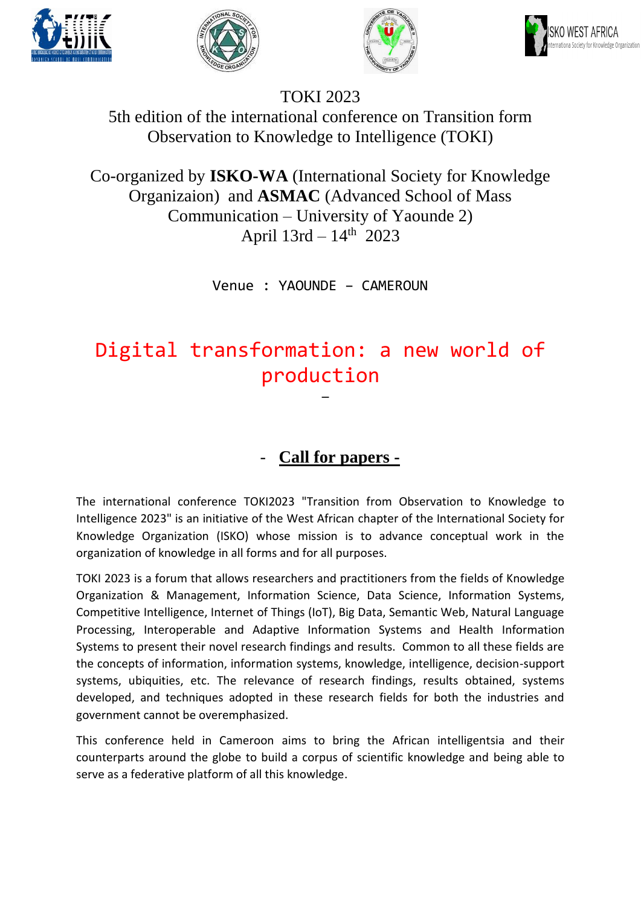







# TOKI 2023

5th edition of the international conference on Transition form Observation to Knowledge to Intelligence (TOKI)

Co-organized by **ISKO-WA** (International Society for Knowledge Organizaion) and **ASMAC** (Advanced School of Mass Communication – University of Yaounde 2) April  $13rd - 14<sup>th</sup>$  2023

Venue : YAOUNDE – CAMEROUN

## Digital transformation: a new world of production -

### - **Call for papers -**

The international conference TOKI2023 "Transition from Observation to Knowledge to Intelligence 2023" is an initiative of the West African chapter of the International Society for Knowledge Organization (ISKO) whose mission is to advance conceptual work in the organization of knowledge in all forms and for all purposes.

TOKI 2023 is a forum that allows researchers and practitioners from the fields of Knowledge Organization & Management, Information Science, Data Science, Information Systems, Competitive Intelligence, Internet of Things (IoT), Big Data, Semantic Web, Natural Language Processing, Interoperable and Adaptive Information Systems and Health Information Systems to present their novel research findings and results. Common to all these fields are the concepts of information, information systems, knowledge, intelligence, decision-support systems, ubiquities, etc. The relevance of research findings, results obtained, systems developed, and techniques adopted in these research fields for both the industries and government cannot be overemphasized.

This conference held in Cameroon aims to bring the African intelligentsia and their counterparts around the globe to build a corpus of scientific knowledge and being able to serve as a federative platform of all this knowledge.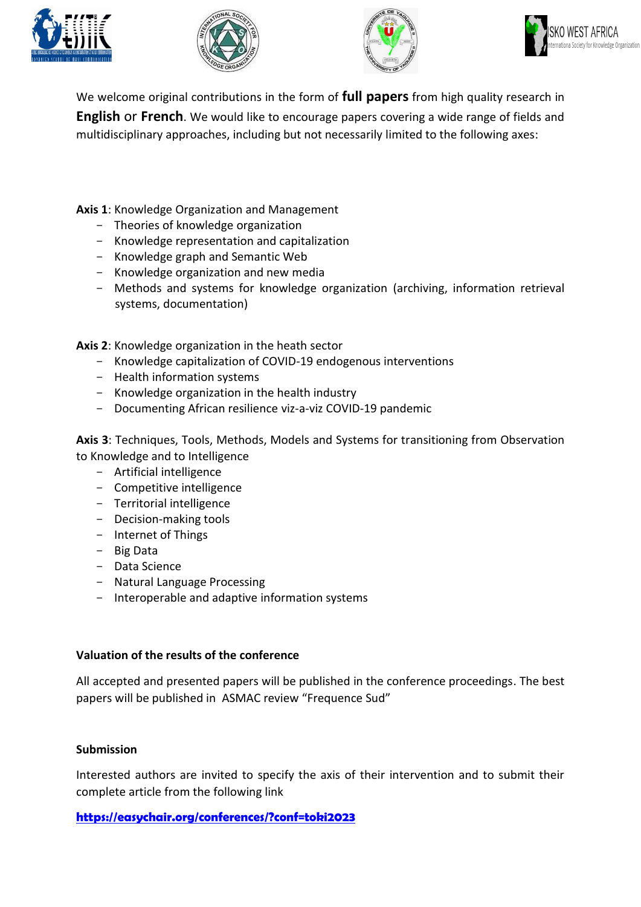







We welcome original contributions in the form of **full papers** from high quality research in **English** or **French**. We would like to encourage papers covering a wide range of fields and multidisciplinary approaches, including but not necessarily limited to the following axes:

**Axis 1**: Knowledge Organization and Management

- Theories of knowledge organization
- Knowledge representation and capitalization
- Knowledge graph and Semantic Web
- Knowledge organization and new media
- Methods and systems for knowledge organization (archiving, information retrieval systems, documentation)

**Axis 2**: Knowledge organization in the heath sector

- Knowledge capitalization of COVID-19 endogenous interventions
- Health information systems
- Knowledge organization in the health industry
- Documenting African resilience viz-a-viz COVID-19 pandemic

**Axis 3**: Techniques, Tools, Methods, Models and Systems for transitioning from Observation to Knowledge and to Intelligence

- Artificial intelligence
- Competitive intelligence
- Territorial intelligence
- Decision-making tools
- Internet of Things
- Big Data
- Data Science
- Natural Language Processing
- Interoperable and adaptive information systems

#### **Valuation of the results of the conference**

All accepted and presented papers will be published in the conference proceedings. The best papers will be published in ASMAC review "Frequence Sud"

#### **Submission**

Interested authors are invited to specify the axis of their intervention and to submit their complete article from the following link

**<https://easychair.org/conferences/?conf=toki2023>**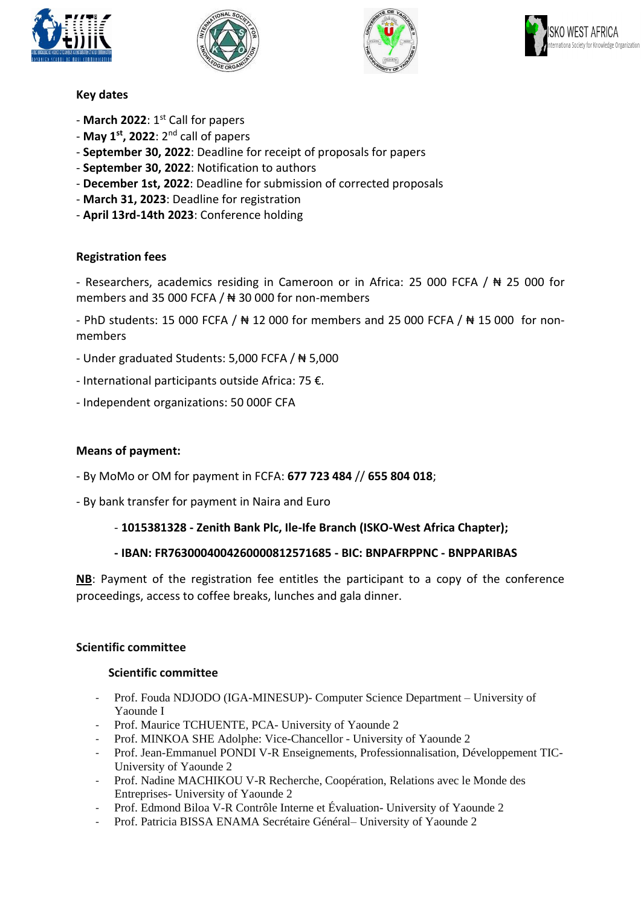







#### **Key dates**

- **March 2022**: 1st Call for papers
- **May 1st, 2022**: 2nd call of papers
- **September 30, 2022**: Deadline for receipt of proposals for papers
- **September 30, 2022**: Notification to authors
- **December 1st, 2022**: Deadline for submission of corrected proposals
- **March 31, 2023**: Deadline for registration
- **April 13rd-14th 2023**: Conference holding

#### **Registration fees**

- Researchers, academics residing in Cameroon or in Africa: 25 000 FCFA / ₦ 25 000 for members and 35 000 FCFA / ₦ 30 000 for non-members

- PhD students: 15 000 FCFA / ₦ 12 000 for members and 25 000 FCFA / ₦ 15 000 for nonmembers

- Under graduated Students: 5,000 FCFA / ₦ 5,000
- International participants outside Africa: 75 €.
- Independent organizations: 50 000F CFA

#### **Means of payment:**

- By MoMo or OM for payment in FCFA: **677 723 484** // **655 804 018**;
- By bank transfer for payment in Naira and Euro
	- **1015381328 - Zenith Bank Plc, Ile-Ife Branch (ISKO-West Africa Chapter);**

#### **- IBAN: FR7630004004260000812571685 - BIC: BNPAFRPPNC - BNPPARIBAS**

**NB**: Payment of the registration fee entitles the participant to a copy of the conference proceedings, access to coffee breaks, lunches and gala dinner.

#### **Scientific committee**

#### **Scientific committee**

- Prof. Fouda NDJODO (IGA-MINESUP)- Computer Science Department University of Yaounde I
- Prof. Maurice TCHUENTE, PCA- University of Yaounde 2
- Prof. MINKOA SHE Adolphe: Vice-Chancellor University of Yaounde 2
- Prof. Jean-Emmanuel PONDI V-R Enseignements, Professionnalisation, Développement TIC-University of Yaounde 2
- Prof. Nadine MACHIKOU V-R Recherche, Coopération, Relations avec le Monde des Entreprises- University of Yaounde 2
- Prof. Edmond Biloa V-R Contrôle Interne et Évaluation- University of Yaounde 2
- Prof. Patricia BISSA ENAMA Secrétaire Général– University of Yaounde 2